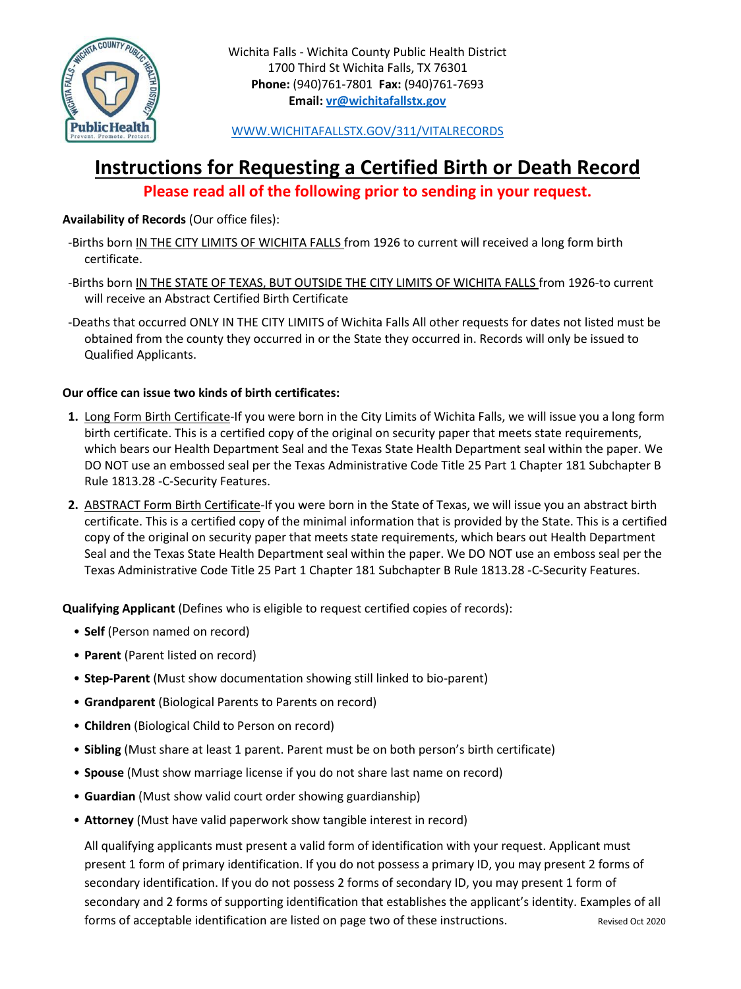

[WWW.WICHITAFALLSTX.GOV/311/VITALRECORDS](http://www.wichitafallstx.gov/311/VITALRECORDS)

## **Instructions for Requesting a Certified Birth or Death Record**

**Please read all of the following prior to sending in your request.**

#### **Availability of Records** (Our office files):

- ‐Births born IN THE CITY LIMITS OF WICHITA FALLS from 1926 to current will received a long form birth certificate.
- ‐Births born IN THE STATE OF TEXAS, BUT OUTSIDE THE CITY LIMITS OF WICHITA FALLS from 1926‐to current will receive an Abstract Certified Birth Certificate
- ‐Deaths that occurred ONLY IN THE CITY LIMITS of Wichita Falls All other requests for dates not listed must be obtained from the county they occurred in or the State they occurred in. Records will only be issued to Qualified Applicants.

#### **Our office can issue two kinds of birth certificates:**

- **1.** Long Form Birth Certificate‐If you were born in the City Limits of Wichita Falls, we will issue you a long form birth certificate. This is a certified copy of the original on security paper that meets state requirements, which bears our Health Department Seal and the Texas State Health Department seal within the paper. We DO NOT use an embossed seal per the Texas Administrative Code Title 25 Part 1 Chapter 181 Subchapter B Rule 1813.28 ‐C‐Security Features.
- **2.** ABSTRACT Form Birth Certificate‐If you were born in the State of Texas, we will issue you an abstract birth certificate. This is a certified copy of the minimal information that is provided by the State. This is a certified copy of the original on security paper that meets state requirements, which bears out Health Department Seal and the Texas State Health Department seal within the paper. We DO NOT use an emboss seal per the Texas Administrative Code Title 25 Part 1 Chapter 181 Subchapter B Rule 1813.28 ‐C‐Security Features.

**Qualifying Applicant** (Defines who is eligible to request certified copies of records):

- **Self** (Person named on record)
- **Parent** (Parent listed on record)
- **Step‐Parent** (Must show documentation showing still linked to bio-parent)
- **Grandparent** (Biological Parents to Parents on record)
- **Children** (Biological Child to Person on record)
- **Sibling** (Must share at least 1 parent. Parent must be on both person's birth certificate)
- **Spouse** (Must show marriage license if you do not share last name on record)
- **Guardian** (Must show valid court order showing guardianship)
- **Attorney** (Must have valid paperwork show tangible interest in record)

All qualifying applicants must present a valid form of identification with your request. Applicant must present 1 form of primary identification. If you do not possess a primary ID, you may present 2 forms of secondary identification. If you do not possess 2 forms of secondary ID, you may present 1 form of secondary and 2 forms of supporting identification that establishes the applicant's identity. Examples of all forms of acceptable identification are listed on page two of these instructions. Revised Oct 2020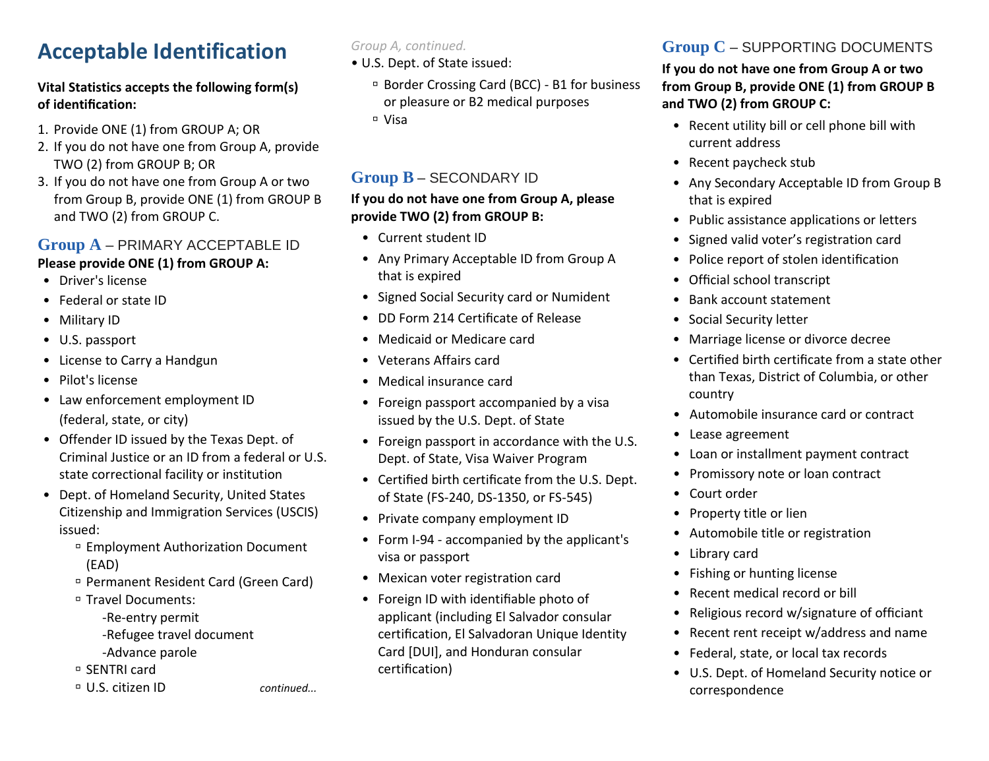# **Acceptable Identification**

#### **Vital Statistics accepts the following form(s) of identification:**

- 1. Provide ONE (1) from GROUP A; OR
- 2. If you do not have one from Group A, provide TWO (2) from GROUP B; OR
- 3. If you do not have one from Group A or two from Group B, provide ONE (1) from GROUP B and TWO (2) from GROUP C.

### **Group A** – PRIMARY ACCEPTABLE ID **Please provide ONE (1) from GROUP A:**

- Driver's license
- Federal or state ID
- Military ID
- U.S. passport
- License to Carry a Handgun
- Pilot's license
- Law enforcement employment ID (federal, state, or city)
- Offender ID issued by the Texas Dept. of Criminal Justice or an ID from a federal or U.S. state correctional facility or institution
- Dept. of Homeland Security, United States Citizenship and Immigration Services (USCIS) issued:
	- Employment Authorization Document (EAD)
	- Permanent Resident Card (Green Card)
	- □ Travel Documents:
		- -Re-entry permit -Refugee travel document -Advance parole
	- □ SENTRI card
	-

*Group A, continued.*

- U.S. Dept. of State issued:
	- Border Crossing Card (BCC) B1 for business or pleasure or B2 medical purposes
	- Visa

## **Group B** – SECONDARY ID

#### **If you do not have one from Group A, please provide TWO (2) from GROUP B:**

- Current student ID
- Any Primary Acceptable ID from Group A that is expired
- Signed Social Security card or Numident
- DD Form 214 Certificate of Release
- Medicaid or Medicare card
- Veterans Affairs card
- Medical insurance card
- Foreign passport accompanied by a visa issued by the U.S. Dept. of State
- Foreign passport in accordance with the U.S. Dept. of State, Visa Waiver Program
- Certified birth certificate from the U.S. Dept. of State (FS-240, DS-1350, or FS-545)
- Private company employment ID
- Form I-94 accompanied by the applicant's visa or passport
- Mexican voter registration card
- Foreign ID with identifiable photo of applicant (including El Salvador consular certification, El Salvadoran Unique Identity Card [DUI], and Honduran consular certification)

## **Group C** – SUPPORTING DOCUMENTS

#### **If you do not have one from Group A or two from Group B, provide ONE (1) from GROUP B and TWO (2) from GROUP C:**

- Recent utility bill or cell phone bill with current address
- Recent paycheck stub
- Any Secondary Acceptable ID from Group B that is expired
- Public assistance applications or letters
- Signed valid voter's registration card
- Police report of stolen identification
- Official school transcript
- Bank account statement
- Social Security letter
- Marriage license or divorce decree
- Certified birth certificate from a state other than Texas, District of Columbia, or other country
- Automobile insurance card or contract
- Lease agreement
- Loan or installment payment contract
- Promissory note or loan contract
- Court order
- Property title or lien
- Automobile title or registration
- Library card
- Fishing or hunting license
- Recent medical record or bill
- Religious record w/signature of officiant
- Recent rent receipt w/address and name
- Federal, state, or local tax records
- U.S. Dept. of Homeland Security notice or correspondence

U.S. citizen ID *continued...*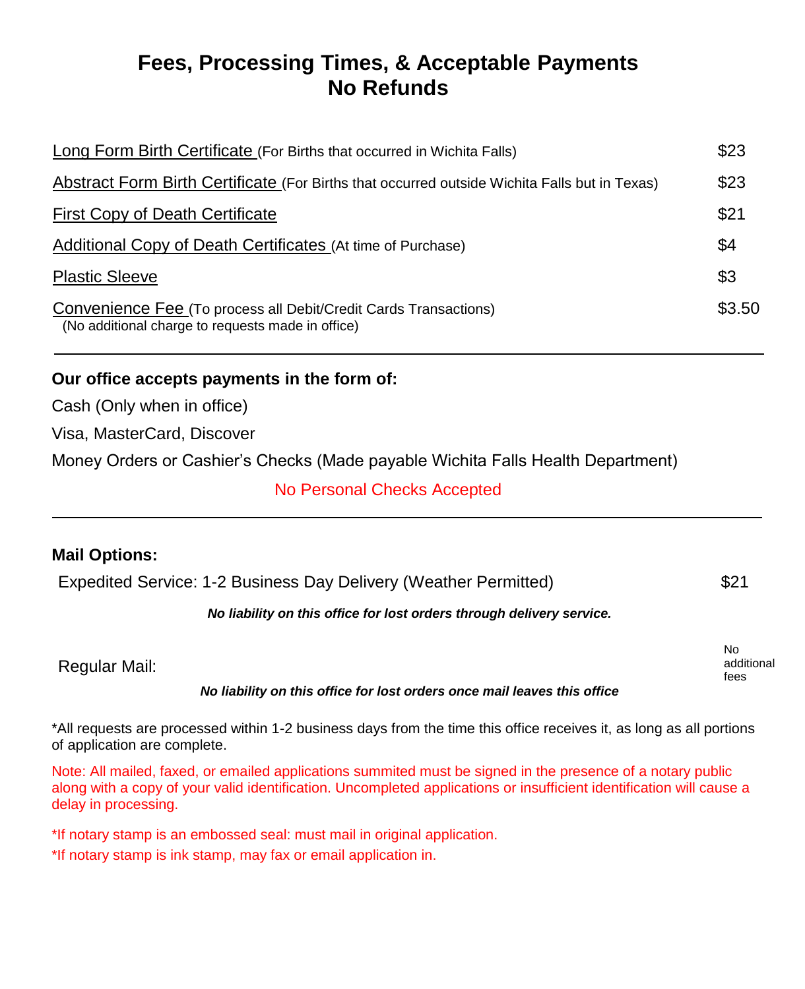## **Fees, Processing Times, & Acceptable Payments No Refunds**

| Long Form Birth Certificate (For Births that occurred in Wichita Falls)                                               | \$23   |
|-----------------------------------------------------------------------------------------------------------------------|--------|
| Abstract Form Birth Certificate (For Births that occurred outside Wichita Falls but in Texas)                         | \$23   |
| <b>First Copy of Death Certificate</b>                                                                                | \$21   |
| <b>Additional Copy of Death Certificates (At time of Purchase)</b>                                                    | \$4    |
| <b>Plastic Sleeve</b>                                                                                                 | \$3    |
| Convenience Fee (To process all Debit/Credit Cards Transactions)<br>(No additional charge to requests made in office) | \$3.50 |

## **Our office accepts payments in the form of:**

Cash (Only when in office)

Visa, MasterCard, Discover

Money Orders or Cashier's Checks (Made payable Wichita Falls Health Department)

## No Personal Checks Accepted

### **Mail Options:**

| Expedited Service: 1-2 Business Day Delivery (Weather Permitted) | \$21 |
|------------------------------------------------------------------|------|
|                                                                  |      |

#### *No liability on this office for lost orders through delivery service.*

|                      |           |             |                          |      |            | No         |
|----------------------|-----------|-------------|--------------------------|------|------------|------------|
| <b>Regular Mail:</b> |           |             |                          |      |            | additional |
|                      |           |             |                          |      |            | fees       |
|                      | _________ | ----<br>___ | the contract of the con- | ____ | ----<br>__ |            |

#### *No liability on this office for lost orders once mail leaves this office*

\*All requests are processed within 1-2 business days from the time this office receives it, as long as all portions of application are complete.

Note: All mailed, faxed, or emailed applications summited must be signed in the presence of a notary public along with a copy of your valid identification. Uncompleted applications or insufficient identification will cause a delay in processing.

\*If notary stamp is an embossed seal: must mail in original application.

\*If notary stamp is ink stamp, may fax or email application in.